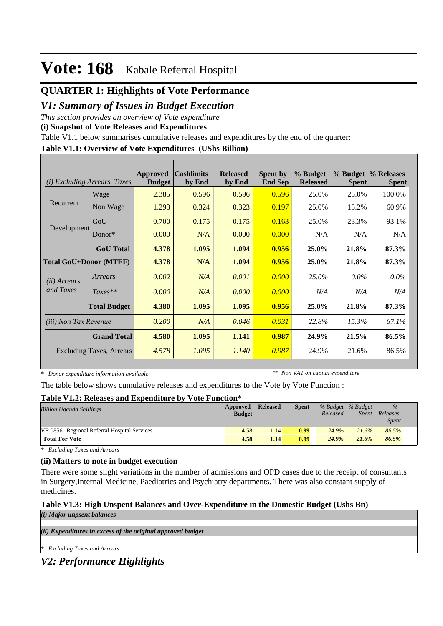# **QUARTER 1: Highlights of Vote Performance**

## *V1: Summary of Issues in Budget Execution*

*This section provides an overview of Vote expenditure* 

**(i) Snapshot of Vote Releases and Expenditures**

Table V1.1 below summarises cumulative releases and expenditures by the end of the quarter:

### **Table V1.1: Overview of Vote Expenditures (UShs Billion)**

| (i)                          | Excluding Arrears, Taxes        | Approved<br><b>Budget</b> | <b>Cashlimits</b><br>by End | <b>Released</b><br>by End | <b>Spent by</b><br><b>End Sep</b> | % Budget<br><b>Released</b> | <b>Spent</b> | % Budget % Releases<br><b>Spent</b> |
|------------------------------|---------------------------------|---------------------------|-----------------------------|---------------------------|-----------------------------------|-----------------------------|--------------|-------------------------------------|
|                              | Wage                            | 2.385                     | 0.596                       | 0.596                     | 0.596                             | 25.0%                       | 25.0%        | 100.0%                              |
| Recurrent                    | Non Wage                        | 1.293                     | 0.324                       | 0.323                     | 0.197                             | 25.0%                       | 15.2%        | 60.9%                               |
|                              | GoU                             | 0.700                     | 0.175                       | 0.175                     | 0.163                             | 25.0%                       | 23.3%        | 93.1%                               |
| Development                  | $Donor*$                        | 0.000                     | N/A                         | 0.000                     | 0.000                             | N/A                         | N/A          | N/A                                 |
|                              | <b>GoU</b> Total                | 4.378                     | 1.095                       | 1.094                     | 0.956                             | 25.0%                       | 21.8%        | 87.3%                               |
|                              | <b>Total GoU+Donor (MTEF)</b>   | 4.378                     | N/A                         | 1.094                     | 0.956                             | 25.0%                       | 21.8%        | 87.3%                               |
| ( <i>ii</i> ) Arrears        | Arrears                         | 0.002                     | N/A                         | 0.001                     | 0.000                             | 25.0%                       | $0.0\%$      | $0.0\%$                             |
| and Taxes                    | $Taxes**$                       | 0.000                     | N/A                         | 0.000                     | 0.000                             | N/A                         | N/A          | N/A                                 |
|                              | <b>Total Budget</b>             | 4.380                     | 1.095                       | 1.095                     | 0.956                             | 25.0%                       | 21.8%        | 87.3%                               |
| <i>(iii)</i> Non Tax Revenue |                                 | 0.200                     | N/A                         | 0.046                     | 0.031                             | 22.8%                       | 15.3%        | 67.1%                               |
|                              | <b>Grand Total</b>              | 4.580                     | 1.095                       | 1.141                     | 0.987                             | 24.9%                       | 21.5%        | 86.5%                               |
|                              | <b>Excluding Taxes, Arrears</b> | 4.578                     | 1.095                       | 1.140                     | 0.987                             | 24.9%                       | 21.6%        | 86.5%                               |

*\* Donor expenditure information available*

*\*\* Non VAT on capital expenditure*

The table below shows cumulative releases and expenditures to the Vote by Vote Function :

### **Table V1.2: Releases and Expenditure by Vote Function\***

| <b>Billion Uganda Shillings</b>             | Approved<br><b>Budget</b> | <b>Released</b> | <b>Spent</b> | Released | % Budget % Budget<br><i>Spent</i> | $\%$<br>Releases<br><i>Spent</i> |  |
|---------------------------------------------|---------------------------|-----------------|--------------|----------|-----------------------------------|----------------------------------|--|
| VF:0856 Regional Referral Hospital Services | 4.58                      | 1.14            | 0.99         | 24.9%    | 21.6%                             | 86.5%                            |  |
| <b>Total For Vote</b>                       | 4.58                      | 1.14            | 0.99         | 24.9%    | 21.6%                             | 86.5%                            |  |

*\* Excluding Taxes and Arrears*

### **(ii) Matters to note in budget execution**

There were some slight variations in the number of admissions and OPD cases due to the receipt of consultants in Surgery,Internal Medicine, Paediatrics and Psychiatry departments. There was also constant supply of medicines.

#### **Table V1.3: High Unspent Balances and Over-Expenditure in the Domestic Budget (Ushs Bn)** *(i) Major unpsent balances*

*(ii) Expenditures in excess of the original approved budget*

*\* Excluding Taxes and Arrears*

## *V2: Performance Highlights*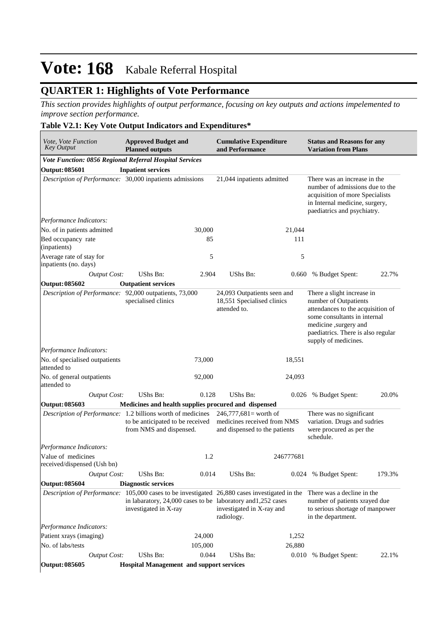# **QUARTER 1: Highlights of Vote Performance**

*This section provides highlights of output performance, focusing on key outputs and actions impelemented to improve section performance.*

### **Table V2.1: Key Vote Output Indicators and Expenditures\***

| Vote, Vote Function<br><b>Key Output</b>                                                      | <b>Approved Budget and</b><br><b>Planned outputs</b>                                  |                            | <b>Cumulative Expenditure</b><br>and Performance                                         |                                                                                                                                                                     | <b>Status and Reasons for any</b><br><b>Variation from Plans</b>                                                                                                                                               |        |
|-----------------------------------------------------------------------------------------------|---------------------------------------------------------------------------------------|----------------------------|------------------------------------------------------------------------------------------|---------------------------------------------------------------------------------------------------------------------------------------------------------------------|----------------------------------------------------------------------------------------------------------------------------------------------------------------------------------------------------------------|--------|
| Vote Function: 0856 Regional Referral Hospital Services                                       |                                                                                       |                            |                                                                                          |                                                                                                                                                                     |                                                                                                                                                                                                                |        |
| <b>Output: 085601</b>                                                                         | <b>Inpatient services</b>                                                             |                            |                                                                                          |                                                                                                                                                                     |                                                                                                                                                                                                                |        |
| Description of Performance: 30,000 inpatients admissions                                      |                                                                                       | 21,044 inpatients admitted |                                                                                          | There was an increase in the<br>number of admissions due to the<br>acquisition of more Specialists<br>in Internal medicine, surgery,<br>paediatrics and psychiatry. |                                                                                                                                                                                                                |        |
| Performance Indicators:                                                                       |                                                                                       |                            |                                                                                          |                                                                                                                                                                     |                                                                                                                                                                                                                |        |
| No. of in patients admitted                                                                   |                                                                                       | 30,000                     |                                                                                          | 21,044                                                                                                                                                              |                                                                                                                                                                                                                |        |
| Bed occupancy rate<br>(inpatients)                                                            |                                                                                       | 85                         |                                                                                          | 111                                                                                                                                                                 |                                                                                                                                                                                                                |        |
| Average rate of stay for<br>inpatients (no. days)                                             |                                                                                       | 5                          |                                                                                          | 5                                                                                                                                                                   |                                                                                                                                                                                                                |        |
| <b>Output Cost:</b>                                                                           | UShs Bn:                                                                              | 2.904                      | UShs Bn:                                                                                 |                                                                                                                                                                     | 0.660 % Budget Spent:                                                                                                                                                                                          | 22.7%  |
| <b>Output: 085602</b>                                                                         | <b>Outpatient services</b>                                                            |                            |                                                                                          |                                                                                                                                                                     |                                                                                                                                                                                                                |        |
| Description of Performance: 92,000 outpatients, 73,000                                        | specialised clinics                                                                   |                            | 24,093 Outpatients seen and<br>18,551 Specialised clinics<br>attended to.                |                                                                                                                                                                     | There a slight increase in<br>number of Outpatients<br>attendances to the acquisition of<br>some consultants in internal<br>medicine,surgery and<br>paediatrics. There is also regular<br>supply of medicines. |        |
| Performance Indicators:                                                                       |                                                                                       |                            |                                                                                          |                                                                                                                                                                     |                                                                                                                                                                                                                |        |
| No. of specialised outpatients<br>attended to                                                 |                                                                                       | 73,000                     |                                                                                          | 18,551                                                                                                                                                              |                                                                                                                                                                                                                |        |
| No. of general outpatients<br>attended to                                                     |                                                                                       | 92,000                     |                                                                                          | 24,093                                                                                                                                                              |                                                                                                                                                                                                                |        |
| <b>Output Cost:</b>                                                                           | UShs Bn:                                                                              | 0.128                      | UShs Bn:                                                                                 |                                                                                                                                                                     | 0.026 % Budget Spent:                                                                                                                                                                                          | 20.0%  |
| <b>Output: 085603</b>                                                                         | Medicines and health supplies procured and dispensed                                  |                            |                                                                                          |                                                                                                                                                                     |                                                                                                                                                                                                                |        |
| Description of Performance: 1.2 billions worth of medicines<br>Performance Indicators:        | to be anticipated to be received<br>from NMS and dispensed.                           |                            | $246,777,681$ = worth of<br>medicines received from NMS<br>and dispensed to the patients |                                                                                                                                                                     | There was no significant<br>variation. Drugs and sudries<br>were procured as per the<br>schedule.                                                                                                              |        |
| Value of medicines                                                                            |                                                                                       | 1.2                        |                                                                                          | 246777681                                                                                                                                                           |                                                                                                                                                                                                                |        |
| received/dispensed (Ush bn)                                                                   |                                                                                       |                            |                                                                                          |                                                                                                                                                                     |                                                                                                                                                                                                                |        |
| <b>Output Cost:</b>                                                                           | <b>UShs Bn:</b>                                                                       | 0.014                      | UShs Bn:                                                                                 |                                                                                                                                                                     | 0.024 % Budget Spent:                                                                                                                                                                                          | 179.3% |
| <b>Output: 085604</b>                                                                         | <b>Diagnostic services</b>                                                            |                            |                                                                                          |                                                                                                                                                                     |                                                                                                                                                                                                                |        |
| Description of Performance: 105,000 cases to be investigated 26,880 cases investigated in the | in labaratory, 24,000 cases to be laboratory and 1,252 cases<br>investigated in X-ray |                            | investigated in X-ray and<br>radiology.                                                  |                                                                                                                                                                     | There was a decline in the<br>number of patients xrayed due<br>to serious shortage of manpower<br>in the department.                                                                                           |        |
| Performance Indicators:                                                                       |                                                                                       |                            |                                                                                          |                                                                                                                                                                     |                                                                                                                                                                                                                |        |
| Patient xrays (imaging)                                                                       |                                                                                       | 24,000                     |                                                                                          | 1,252                                                                                                                                                               |                                                                                                                                                                                                                |        |
| No. of labs/tests                                                                             |                                                                                       | 105,000                    |                                                                                          | 26,880                                                                                                                                                              |                                                                                                                                                                                                                |        |
| <b>Output Cost:</b>                                                                           | <b>UShs Bn:</b>                                                                       | 0.044                      | UShs Bn:                                                                                 | 0.010                                                                                                                                                               | % Budget Spent:                                                                                                                                                                                                | 22.1%  |
| <b>Output: 085605</b>                                                                         | <b>Hospital Management and support services</b>                                       |                            |                                                                                          |                                                                                                                                                                     |                                                                                                                                                                                                                |        |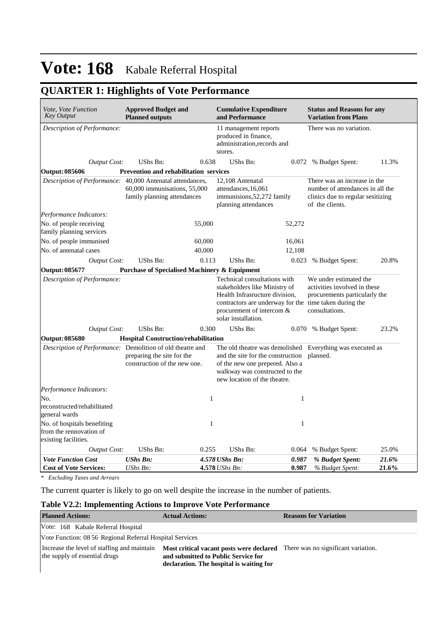# **QUARTER 1: Highlights of Vote Performance**

| Vote, Vote Function<br><b>Key Output</b>                                       | <b>Approved Budget and</b><br><b>Planned outputs</b>        |        | <b>Cumulative Expenditure</b><br>and Performance                                                                                                                                                              |              | <b>Status and Reasons for any</b><br><b>Variation from Plans</b>                                                         |       |
|--------------------------------------------------------------------------------|-------------------------------------------------------------|--------|---------------------------------------------------------------------------------------------------------------------------------------------------------------------------------------------------------------|--------------|--------------------------------------------------------------------------------------------------------------------------|-------|
| Description of Performance:                                                    |                                                             |        | 11 management reports<br>produced in finance,<br>administration, records and<br>stores.                                                                                                                       |              | There was no variation.                                                                                                  |       |
| Output Cost:                                                                   | <b>UShs Bn:</b>                                             | 0.638  | UShs Bn:                                                                                                                                                                                                      |              | 0.072 % Budget Spent:                                                                                                    | 11.3% |
| <b>Output: 085606</b>                                                          | <b>Prevention and rehabilitation services</b>               |        |                                                                                                                                                                                                               |              |                                                                                                                          |       |
| Description of Performance: 40,000 Antenatal attendances,                      | 60,000 immunisations, 55,000<br>family planning attendances |        | 12,108 Antenatal<br>attendances, 16,061<br>immunisions, 52, 272 family<br>planning attendances                                                                                                                |              | There was an increase in the<br>number of attendances in all the<br>clinics due to regular sesitizing<br>of the clients. |       |
| Performance Indicators:                                                        |                                                             |        |                                                                                                                                                                                                               |              |                                                                                                                          |       |
| No. of people receiving<br>family planning services                            |                                                             | 55,000 |                                                                                                                                                                                                               | 52,272       |                                                                                                                          |       |
| No. of people immunised                                                        |                                                             | 60,000 |                                                                                                                                                                                                               | 16,061       |                                                                                                                          |       |
| No. of antenatal cases                                                         |                                                             | 40,000 |                                                                                                                                                                                                               | 12,108       |                                                                                                                          |       |
| <b>Output Cost:</b>                                                            | <b>UShs Bn:</b>                                             | 0.113  | UShs Bn:                                                                                                                                                                                                      | 0.023        | % Budget Spent:                                                                                                          | 20.8% |
| <b>Output: 085677</b>                                                          | <b>Purchase of Specialised Machinery &amp; Equipment</b>    |        |                                                                                                                                                                                                               |              |                                                                                                                          |       |
| Description of Performance:                                                    |                                                             |        | Technical consultations with<br>stakeholders like Ministry of<br>Health Infrasructure division,<br>contractors are underway for the time taken during the<br>procurement of intercom &<br>solar installation. |              | We under estimated the<br>activities involved in these<br>procurements particularly the<br>consultations.                |       |
| Output Cost:                                                                   | <b>UShs Bn:</b>                                             | 0.300  | UShs Bn:                                                                                                                                                                                                      | 0.070        | % Budget Spent:                                                                                                          | 23.2% |
| <b>Output: 085680</b>                                                          | <b>Hospital Construction/rehabilitation</b>                 |        |                                                                                                                                                                                                               |              |                                                                                                                          |       |
| Description of Performance: Demolition of old theatre and                      | preparing the site for the<br>construction of the new one.  |        | The old theatre was demolished Everything was executed as<br>and the site for the construction planned.<br>of the new one prepered. Also a<br>walkway was constructed to the<br>new location of the theatre.  |              |                                                                                                                          |       |
| Performance Indicators:                                                        |                                                             |        |                                                                                                                                                                                                               |              |                                                                                                                          |       |
| No.<br>reconstructed/rehabilitated<br>general wards                            |                                                             | 1      |                                                                                                                                                                                                               | $\mathbf{1}$ |                                                                                                                          |       |
| No. of hospitals benefiting<br>from the rennovation of<br>existing facilities. |                                                             | 1      |                                                                                                                                                                                                               | $\mathbf{1}$ |                                                                                                                          |       |
| <b>Output Cost:</b>                                                            | <b>UShs Bn:</b>                                             | 0.255  | UShs Bn:                                                                                                                                                                                                      | 0.064        | % Budget Spent:                                                                                                          | 25.0% |
| <b>Vote Function Cost</b>                                                      | <b>UShs Bn:</b>                                             |        | 4.578 UShs Bn:                                                                                                                                                                                                | 0.987        | % Budget Spent:                                                                                                          | 21.6% |
| <b>Cost of Vote Services:</b>                                                  | UShs Bn:                                                    |        | 4.578 UShs Bn:                                                                                                                                                                                                | 0.987        | % Budget Spent:                                                                                                          | 21.6% |

*\* Excluding Taxes and Arrears*

The current quarter is likely to go on well despite the increase in the number of patients.

### **Table V2.2: Implementing Actions to Improve Vote Performance**

| <b>Planned Actions:</b>                                  | <b>Actual Actions:</b>                                                                                                                                                                                      | <b>Reasons for Variation</b> |
|----------------------------------------------------------|-------------------------------------------------------------------------------------------------------------------------------------------------------------------------------------------------------------|------------------------------|
| Vote: 168 Kabale Referral Hospital                       |                                                                                                                                                                                                             |                              |
| Vote Function: 08 56 Regional Referral Hospital Services |                                                                                                                                                                                                             |                              |
| the supply of essential drugs                            | Increase the level of staffing and maintain Most critical vacant posts were declared There was no significant variation.<br>and submitted to Public Service for<br>declaration. The hospital is waiting for |                              |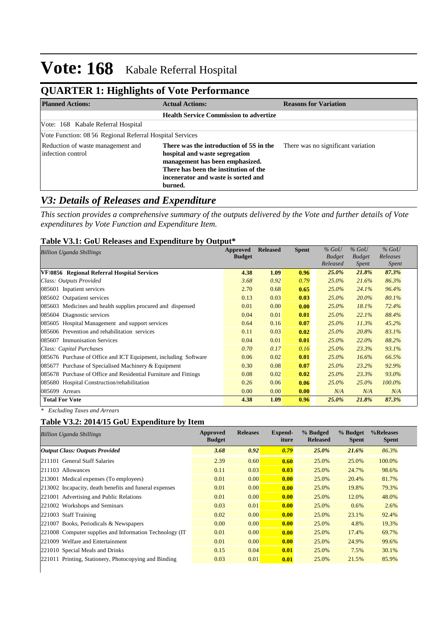# **QUARTER 1: Highlights of Vote Performance**

| <b>Planned Actions:</b>                                  | <b>Actual Actions:</b>                                                                                                                                                                                  | <b>Reasons for Variation</b>       |
|----------------------------------------------------------|---------------------------------------------------------------------------------------------------------------------------------------------------------------------------------------------------------|------------------------------------|
|                                                          | <b>Health Service Commission to advertize</b>                                                                                                                                                           |                                    |
| Vote: 168 Kabale Referral Hospital                       |                                                                                                                                                                                                         |                                    |
| Vote Function: 08 56 Regional Referral Hospital Services |                                                                                                                                                                                                         |                                    |
| Reduction of waste management and<br>infection control   | There was the introduction of 5S in the<br>hospital and waste segregation<br>management has been emphasized.<br>There has been the institution of the<br>incenerator and waste is sorted and<br>burned. | There was no significant variation |

## *V3: Details of Releases and Expenditure*

*This section provides a comprehensive summary of the outputs delivered by the Vote and further details of Vote expenditures by Vote Function and Expenditure Item.*

### **Table V3.1: GoU Releases and Expenditure by Output\***

| Billion Uganda Shillings                                         | Approved      | <b>Released</b> | <b>Spent</b> | $%$ GoU                   | $%$ GoU                       | $%$ GoU                  |
|------------------------------------------------------------------|---------------|-----------------|--------------|---------------------------|-------------------------------|--------------------------|
|                                                                  | <b>Budget</b> |                 |              | <b>Budget</b><br>Released | <b>Budget</b><br><i>Spent</i> | Releases<br><b>Spent</b> |
| VF:0856 Regional Referral Hospital Services                      | 4.38          | 1.09            | 0.96         | 25.0%                     | 21.8%                         | 87.3%                    |
| Class: Outputs Provided                                          | 3.68          | 0.92            | 0.79         | $25.0\%$                  | 21.6%                         | 86.3%                    |
| 085601 Inpatient services                                        | 2.70          | 0.68            | 0.65         | 25.0%                     | 24.1%                         | 96.4%                    |
| 085602 Outpatient services                                       | 0.13          | 0.03            | 0.03         | $25.0\%$                  | 20.0%                         | 80.1%                    |
| 085603 Medicines and health supplies procured and dispensed      | 0.01          | 0.00            | 0.00         | 25.0%                     | 18.1%                         | 72.4%                    |
| 085604 Diagnostic services                                       | 0.04          | 0.01            | 0.01         | 25.0%                     | 22.1%                         | 88.4%                    |
| 085605 Hospital Management and support services                  | 0.64          | 0.16            | 0.07         | 25.0%                     | $11.3\%$                      | 45.2%                    |
| 085606 Prevention and rehabilitation services                    | 0.11          | 0.03            | 0.02         | $25.0\%$                  | 20.8%                         | 83.1%                    |
| 085607<br><b>Immunisation Services</b>                           | 0.04          | 0.01            | 0.01         | $25.0\%$                  | 22.0%                         | 88.2%                    |
| Class: Capital Purchases                                         | 0.70          | 0.17            | 0.16         | $25.0\%$                  | 23.3%                         | 93.1%                    |
| 085676 Purchase of Office and ICT Equipment, including Software  | 0.06          | 0.02            | 0.01         | 25.0%                     | 16.6%                         | 66.5%                    |
| 085677 Purchase of Specialised Machinery & Equipment             | 0.30          | 0.08            | 0.07         | $25.0\%$                  | 23.2%                         | 92.9%                    |
| 085678 Purchase of Office and Residential Furniture and Fittings | 0.08          | 0.02            | 0.02         | 25.0%                     | 23.3%                         | 93.0%                    |
| 085680 Hospital Construction/rehabilitation                      | 0.26          | 0.06            | 0.06         | $25.0\%$                  | 25.0%                         | $100.0\%$                |
| 085699 Arrears                                                   | 0.00          | 0.00            | 0.00         | N/A                       | N/A                           | N/A                      |
| <b>Total For Vote</b>                                            | 4.38          | 1.09            | 0.96         | 25.0%                     | 21.8%                         | 87.3%                    |

*\* Excluding Taxes and Arrears*

### **Table V3.2: 2014/15 GoU Expenditure by Item**

| <b>Billion Uganda Shillings</b>                          | Approved<br><b>Budget</b> | <b>Releases</b> | Expend-<br>iture | % Budged<br><b>Released</b> | % Budget<br><b>Spent</b> | %Releases<br><b>Spent</b> |
|----------------------------------------------------------|---------------------------|-----------------|------------------|-----------------------------|--------------------------|---------------------------|
| <b>Output Class: Outputs Provided</b>                    | 3.68                      | 0.92            | 0.79             | 25.0%                       | 21.6%                    | 86.3%                     |
| 211101 General Staff Salaries                            | 2.39                      | 0.60            | 0.60             | 25.0%                       | 25.0%                    | 100.0%                    |
| 211103 Allowances                                        | 0.11                      | 0.03            | 0.03             | 25.0%                       | 24.7%                    | 98.6%                     |
| 213001 Medical expenses (To employees)                   | 0.01                      | 0.00            | 0.00             | 25.0%                       | 20.4%                    | 81.7%                     |
| 213002 Incapacity, death benefits and funeral expenses   | 0.01                      | 0.00            | 0.00             | 25.0%                       | 19.8%                    | 79.3%                     |
| 221001 Advertising and Public Relations                  | 0.01                      | 0.00            | 0.00             | 25.0%                       | 12.0%                    | 48.0%                     |
| 221002 Workshops and Seminars                            | 0.03                      | 0.01            | 0.00             | 25.0%                       | 0.6%                     | 2.6%                      |
| 221003 Staff Training                                    | 0.02                      | 0.00            | 0.00             | 25.0%                       | 23.1%                    | 92.4%                     |
| 221007 Books, Periodicals & Newspapers                   | 0.00                      | 0.00            | 0.00             | 25.0%                       | 4.8%                     | 19.3%                     |
| 221008 Computer supplies and Information Technology (IT) | 0.01                      | 0.00            | 0.00             | 25.0%                       | 17.4%                    | 69.7%                     |
| 221009 Welfare and Entertainment                         | 0.01                      | 0.00            | 0.00             | 25.0%                       | 24.9%                    | 99.6%                     |
| 221010 Special Meals and Drinks                          | 0.15                      | 0.04            | 0.01             | 25.0%                       | 7.5%                     | 30.1%                     |
| 221011 Printing, Stationery, Photocopying and Binding    | 0.03                      | 0.01            | 0.01             | 25.0%                       | 21.5%                    | 85.9%                     |
|                                                          |                           |                 |                  |                             |                          |                           |